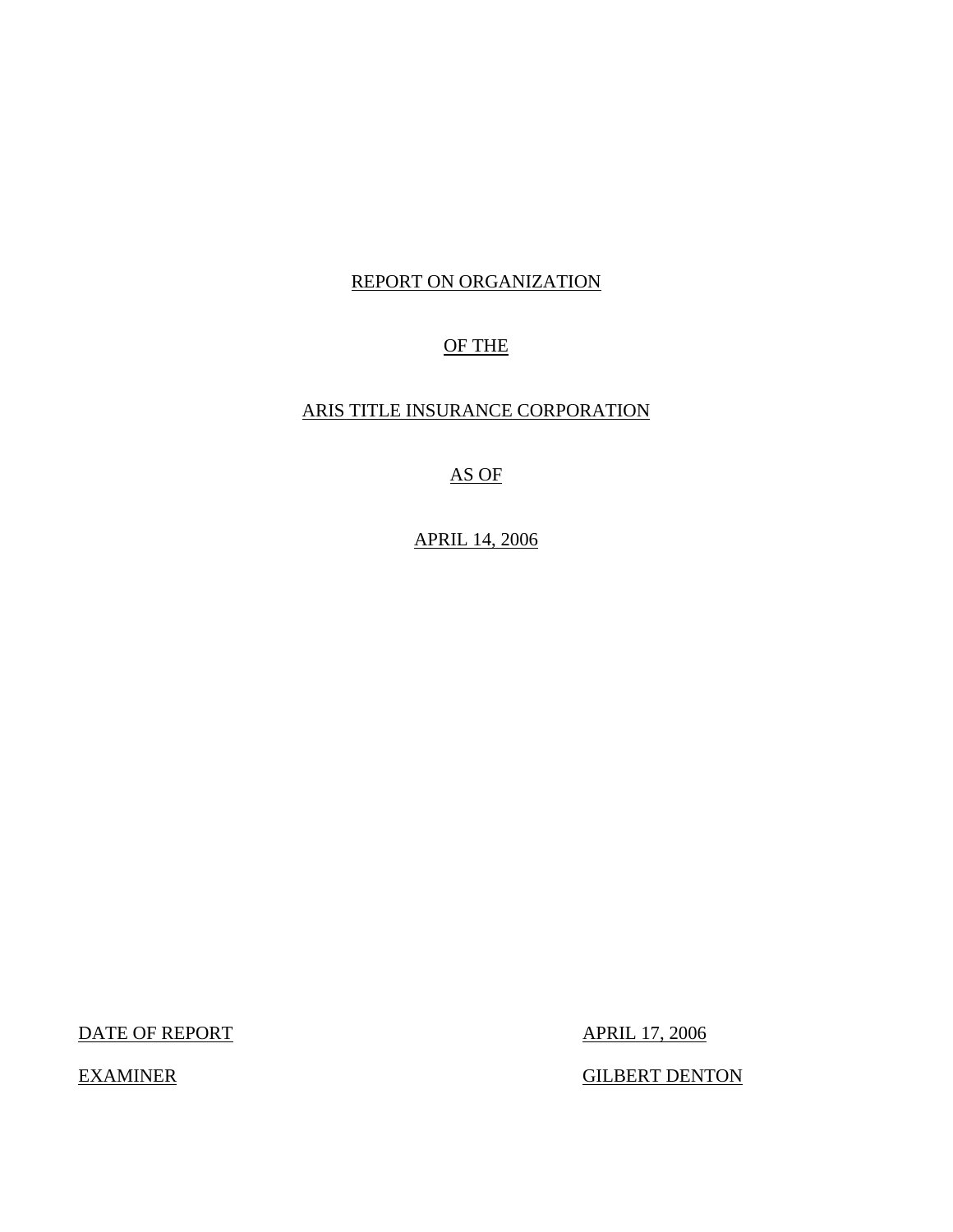## REPORT ON ORGANIZATION

## OF THE

## ARIS TITLE INSURANCE CORPORATION

## AS OF

## APRIL 14, 2006

DATE OF REPORT APRIL 17, 2006

EXAMINER GILBERT DENTON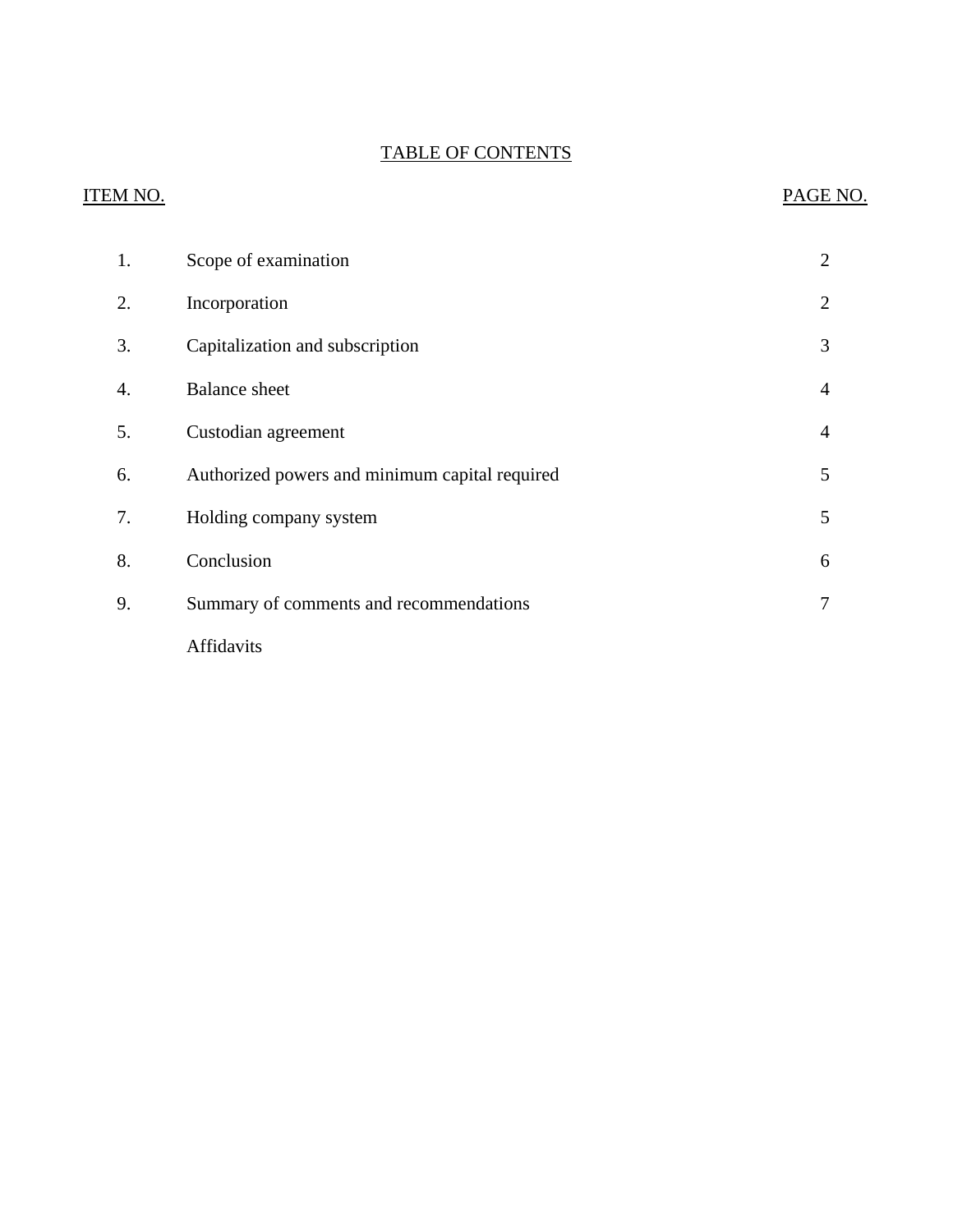## TABLE OF CONTENTS

# **ITEM NO.**  $3.$ 7. PAGE NO. [1. Scope of examination 2](#page-3-0) [2. Incorporation 2](#page-3-0) [3. Capitalization and subscription 3](#page-4-0) 4. Balance sheet 4 5. Custodian agreement 4 [6. Authorized powers and minimum capital required 5](#page-6-0) Folding company system 5 [8. Conclusion 6](#page-7-0) [9. Summary of comments and recommendations 7](#page-8-0) Affidavits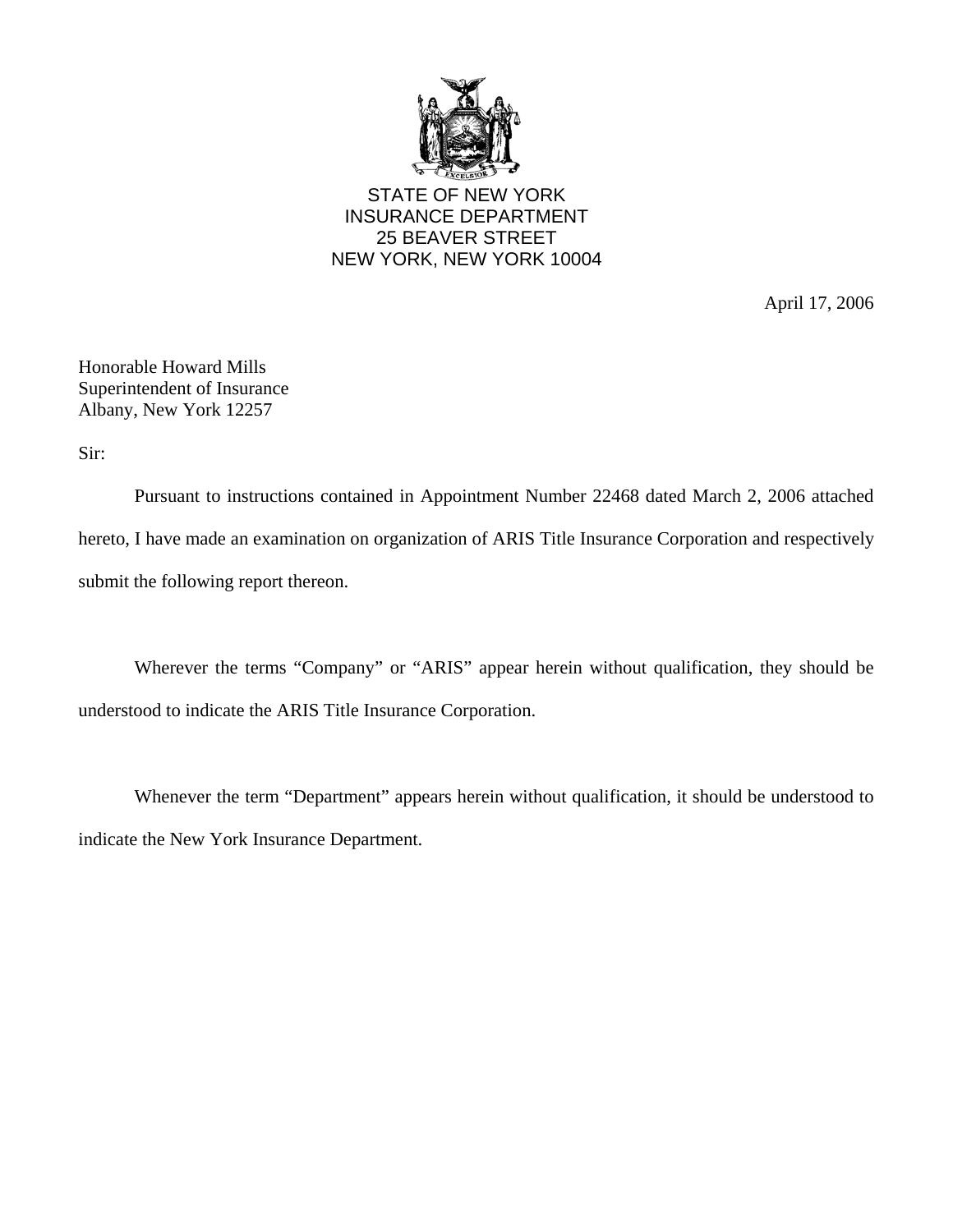

STATE OF NEW YORK INSURANCE DEPARTMENT 25 BEAVER STREET NEW YORK, NEW YORK 10004

April 17, 2006

Honorable Howard Mills Superintendent of Insurance Albany, New York 12257

Sir:

Pursuant to instructions contained in Appointment Number 22468 dated March 2, 2006 attached hereto, I have made an examination on organization of ARIS Title Insurance Corporation and respectively submit the following report thereon.

Wherever the terms "Company" or "ARIS" appear herein without qualification, they should be understood to indicate the ARIS Title Insurance Corporation.

Whenever the term "Department" appears herein without qualification, it should be understood to indicate the New York Insurance Department.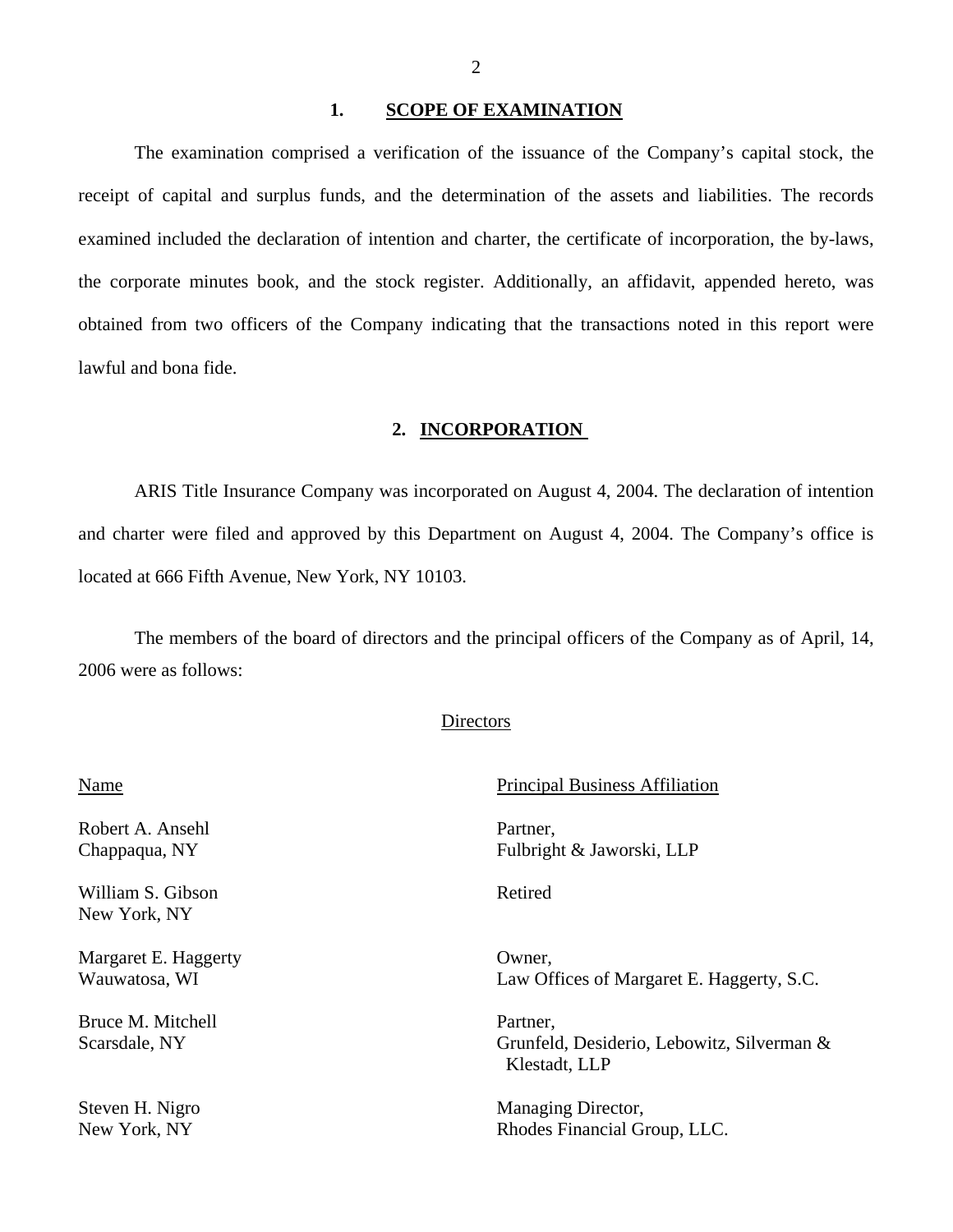#### 1. SCOPE OF EXAMINATION

<span id="page-3-0"></span>The examination comprised a verification of the issuance of the Company's capital stock, the receipt of capital and surplus funds, and the determination of the assets and liabilities. The records examined included the declaration of intention and charter, the certificate of incorporation, the by-laws, the corporate minutes book, and the stock register. Additionally, an affidavit, appended hereto, was obtained from two officers of the Company indicating that the transactions noted in this report were lawful and bona fide.

#### **2. INCORPORATION**

ARIS Title Insurance Company was incorporated on August 4, 2004. The declaration of intention and charter were filed and approved by this Department on August 4, 2004. The Company's office is located at 666 Fifth Avenue, New York, NY 10103.

The members of the board of directors and the principal officers of the Company as of April, 14, 2006 were as follows:

#### **Directors**

| Name                 | <b>Principal Business Affiliation</b>                       |  |
|----------------------|-------------------------------------------------------------|--|
| Robert A. Ansehl     | Partner,                                                    |  |
| Chappaqua, NY        | Fulbright & Jaworski, LLP                                   |  |
| William S. Gibson    | Retired                                                     |  |
| New York, NY         |                                                             |  |
| Margaret E. Haggerty | Owner,                                                      |  |
| Wauwatosa, WI        | Law Offices of Margaret E. Haggerty, S.C.                   |  |
| Bruce M. Mitchell    | Partner,                                                    |  |
| Scarsdale, NY        | Grunfeld, Desiderio, Lebowitz, Silverman &<br>Klestadt, LLP |  |
| Steven H. Nigro      | Managing Director,                                          |  |
| New York, NY         | Rhodes Financial Group, LLC.                                |  |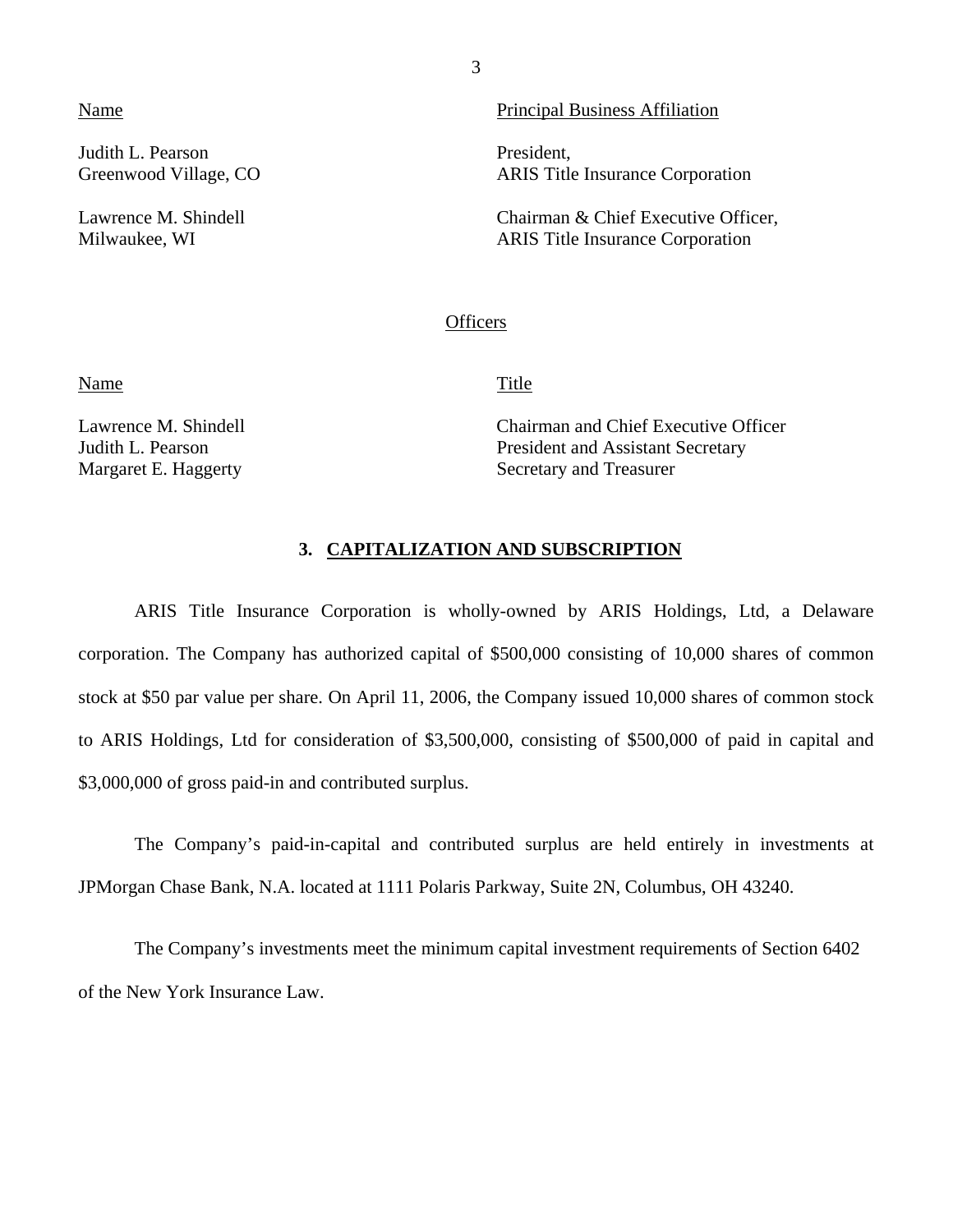Judith L. Pearson President,

<span id="page-4-0"></span>Name **Principal Business Affiliation** 

Greenwood Village, CO ARIS Title Insurance Corporation

Lawrence M. Shindell **Chairman & Chief Executive Officer**, Milwaukee, WI ARIS Title Insurance Corporation

#### **Officers**

Name Title

Lawrence M. Shindell Chairman and Chief Executive Officer Judith L. Pearson President and Assistant Secretary Margaret E. Haggerty Secretary and Treasurer

#### **3. CAPITALIZATION AND SUBSCRIPTION**

ARIS Title Insurance Corporation is wholly-owned by ARIS Holdings, Ltd, a Delaware corporation. The Company has authorized capital of \$500,000 consisting of 10,000 shares of common stock at \$50 par value per share. On April 11, 2006, the Company issued 10,000 shares of common stock to ARIS Holdings, Ltd for consideration of \$3,500,000, consisting of \$500,000 of paid in capital and \$3,000,000 of gross paid-in and contributed surplus.

The Company's paid-in-capital and contributed surplus are held entirely in investments at JPMorgan Chase Bank, N.A. located at 1111 Polaris Parkway, Suite 2N, Columbus, OH 43240.

The Company's investments meet the minimum capital investment requirements of Section 6402 of the New York Insurance Law.

3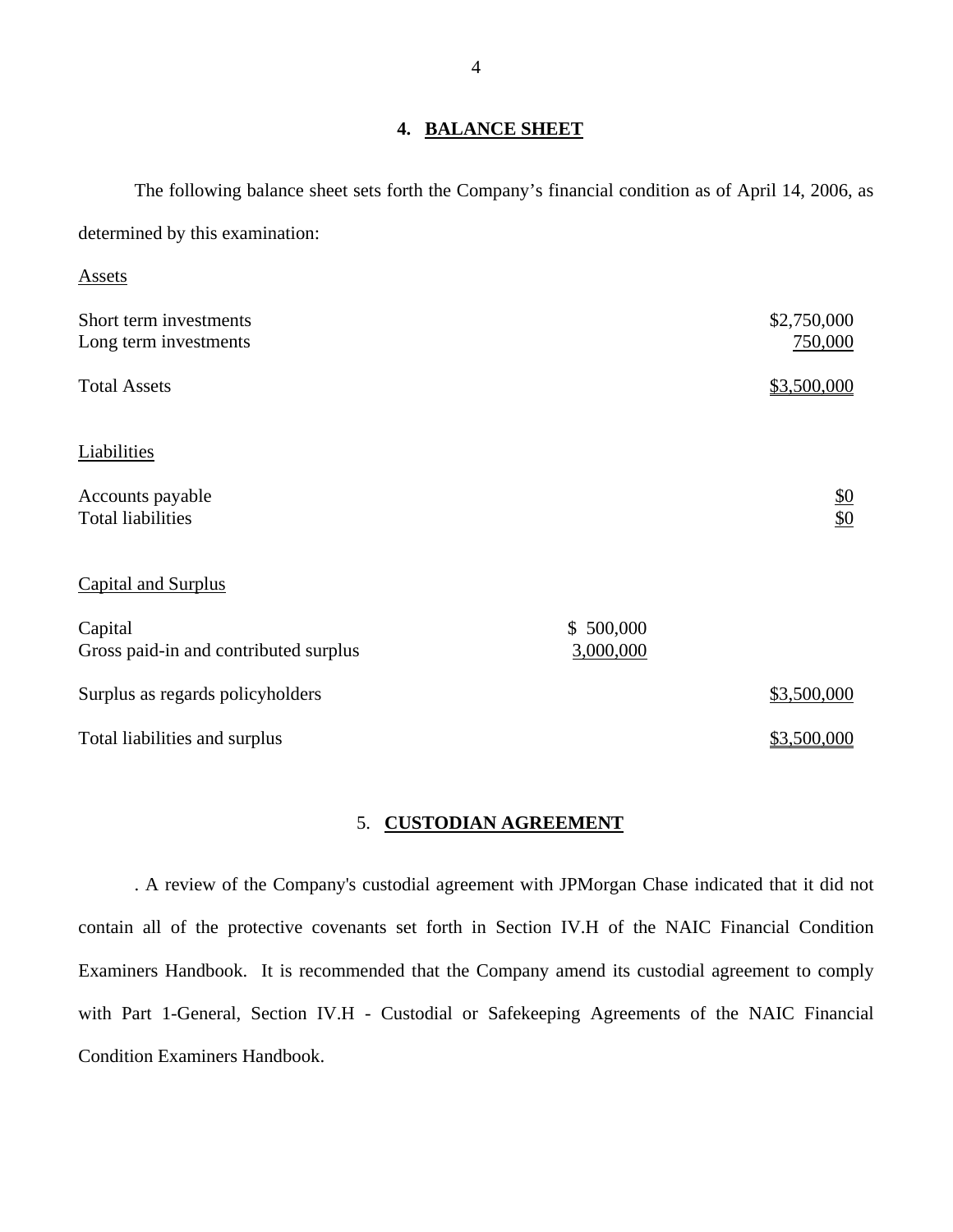#### **4. BALANCE SHEET**

The following balance sheet sets forth the Company's financial condition as of April 14, 2006, as determined by this examination:

| Assets                                |           |                 |
|---------------------------------------|-----------|-----------------|
| Short term investments                |           | \$2,750,000     |
| Long term investments                 |           | 750,000         |
| <b>Total Assets</b>                   |           | \$3,500,000     |
| Liabilities                           |           |                 |
| Accounts payable                      |           |                 |
| <b>Total liabilities</b>              |           | $\frac{$0}{$0}$ |
| <b>Capital and Surplus</b>            |           |                 |
| Capital                               | \$500,000 |                 |
| Gross paid-in and contributed surplus | 3,000,000 |                 |
| Surplus as regards policyholders      |           | \$3,500,000     |
| Total liabilities and surplus         |           | \$3,500,000     |

## 5. **CUSTODIAN AGREEMENT**

. A review of the Company's custodial agreement with JPMorgan Chase indicated that it did not contain all of the protective covenants set forth in Section IV.H of the NAIC Financial Condition Examiners Handbook. It is recommended that the Company amend its custodial agreement to comply with Part 1-General, Section IV.H - Custodial or Safekeeping Agreements of the NAIC Financial Condition Examiners Handbook.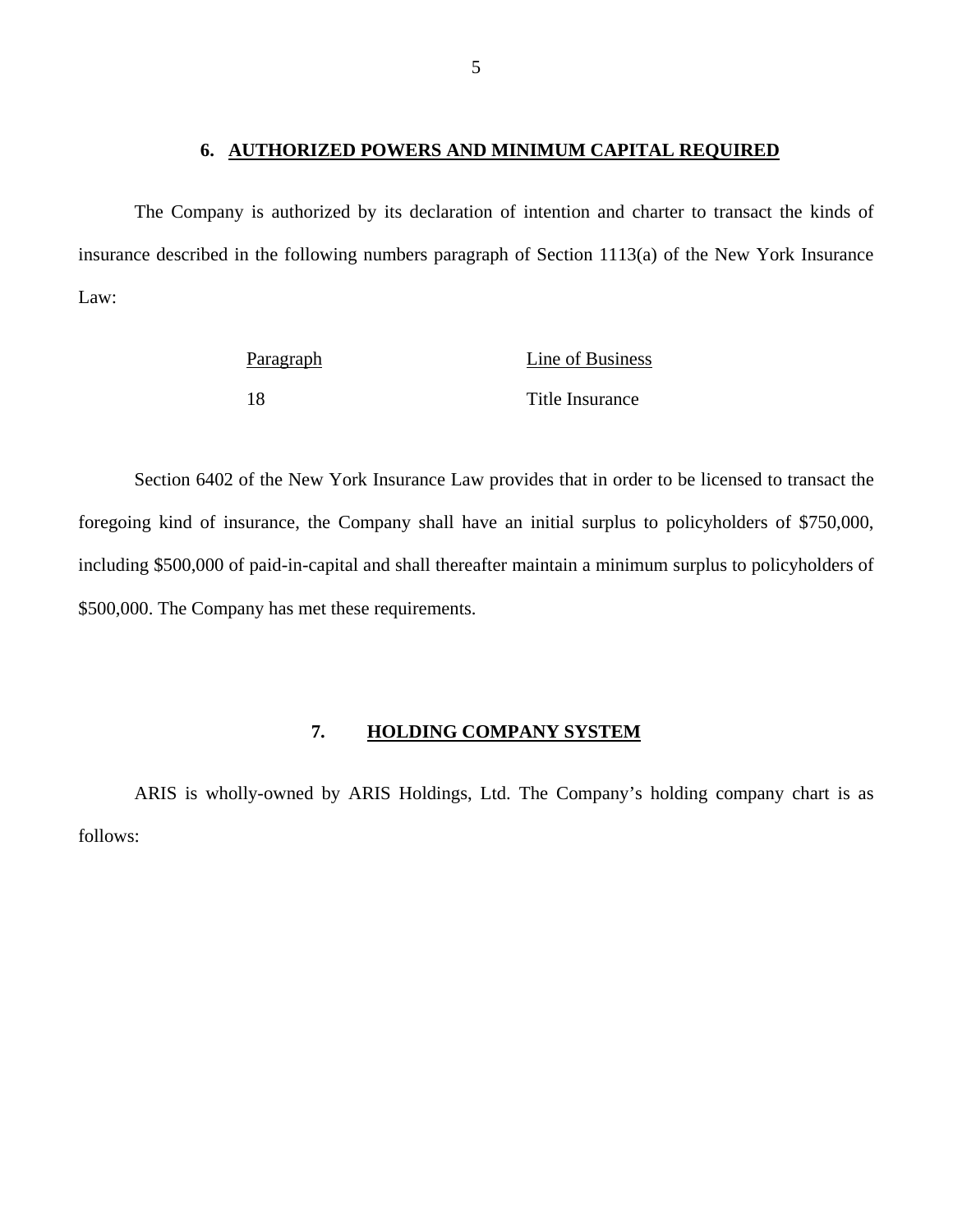## **6. AUTHORIZED POWERS AND MINIMUM CAPITAL REQUIRED**

<span id="page-6-0"></span>The Company is authorized by its declaration of intention and charter to transact the kinds of insurance described in the following numbers paragraph of Section 1113(a) of the New York Insurance Law:

| Paragraph | Line of Business |
|-----------|------------------|
|           | Title Insurance  |

Section 6402 of the New York Insurance Law provides that in order to be licensed to transact the foregoing kind of insurance, the Company shall have an initial surplus to policyholders of \$750,000, including \$500,000 of paid-in-capital and shall thereafter maintain a minimum surplus to policyholders of \$500,000. The Company has met these requirements.

#### **7. HOLDING COMPANY SYSTEM**

ARIS is wholly-owned by ARIS Holdings, Ltd. The Company's holding company chart is as follows: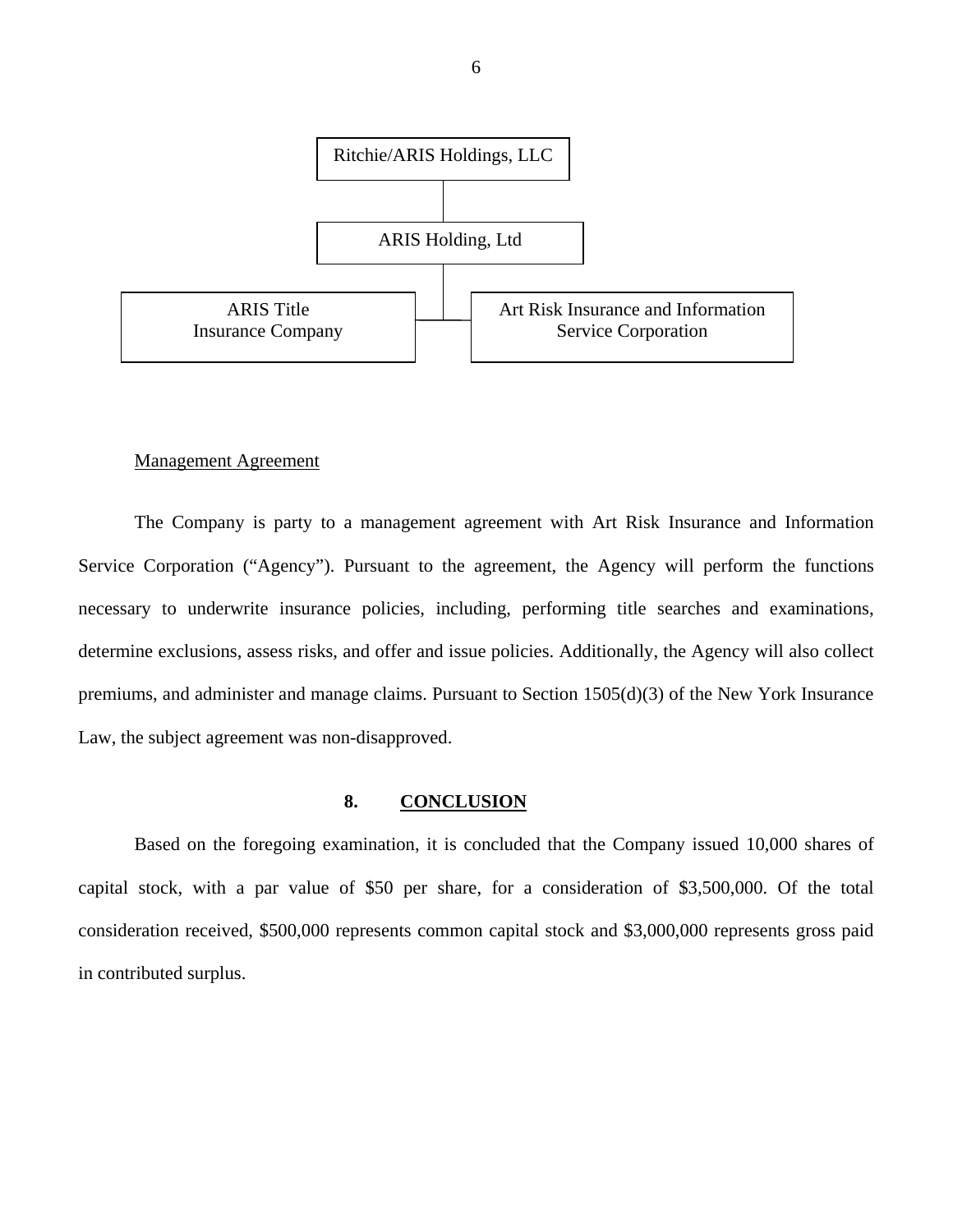<span id="page-7-0"></span>

#### Management Agreement

The Company is party to a management agreement with Art Risk Insurance and Information Service Corporation ("Agency"). Pursuant to the agreement, the Agency will perform the functions necessary to underwrite insurance policies, including, performing title searches and examinations, determine exclusions, assess risks, and offer and issue policies. Additionally, the Agency will also collect premiums, and administer and manage claims. Pursuant to Section 1505(d)(3) of the New York Insurance Law, the subject agreement was non-disapproved.

#### **8. CONCLUSION**

Based on the foregoing examination, it is concluded that the Company issued 10,000 shares of capital stock, with a par value of \$50 per share, for a consideration of \$3,500,000. Of the total consideration received, \$500,000 represents common capital stock and \$3,000,000 represents gross paid in contributed surplus.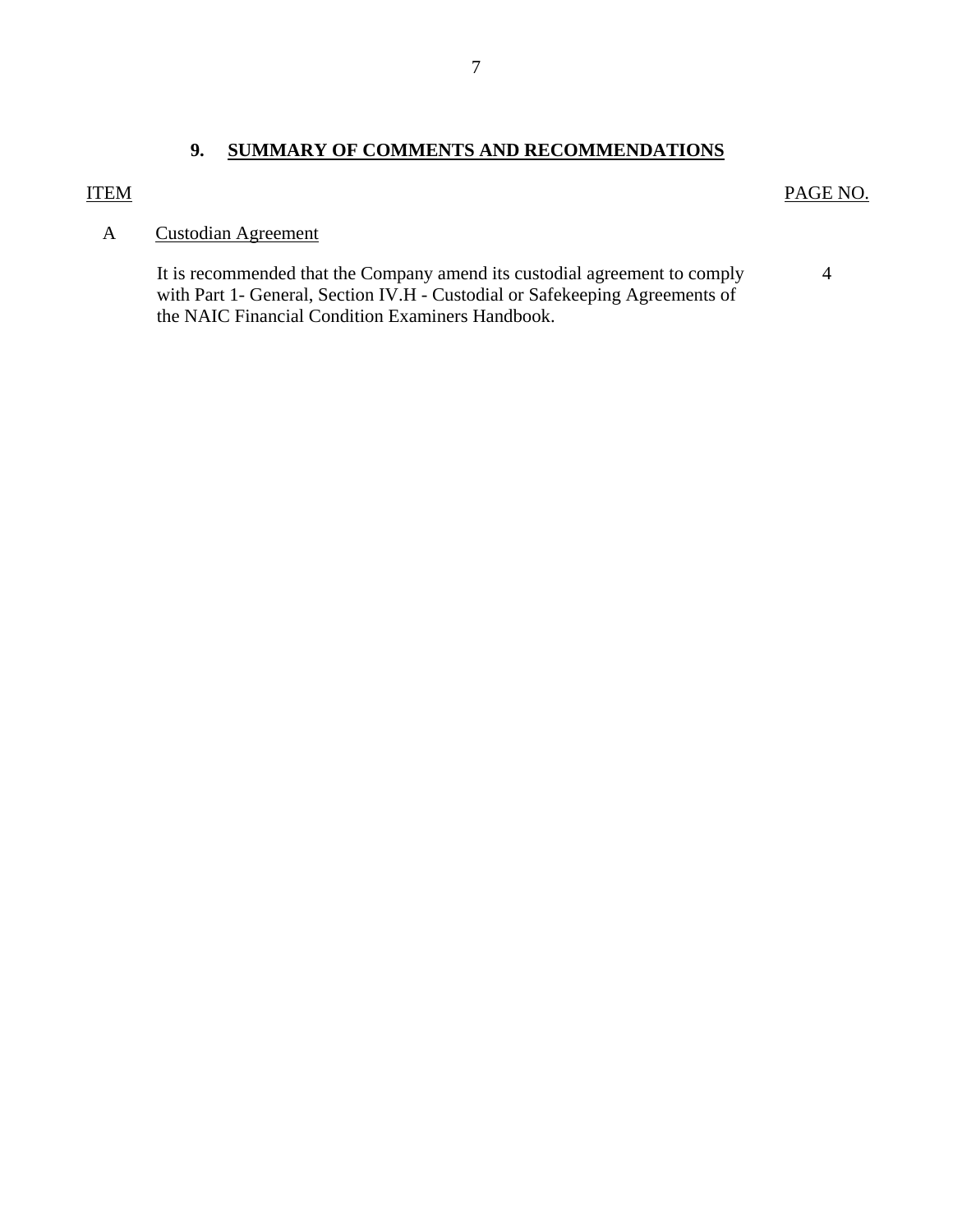#### <span id="page-8-0"></span>**ITEM**

#### PAGE NO.

4

## **Custodian Agreement**

A Custodian Agreement<br>It is recommended that the Company amend its custodial agreement to comply with Part 1- General, Section IV.H - Custodial or Safekeeping Agreements of the NAIC Financial Condition Examiners Handbook.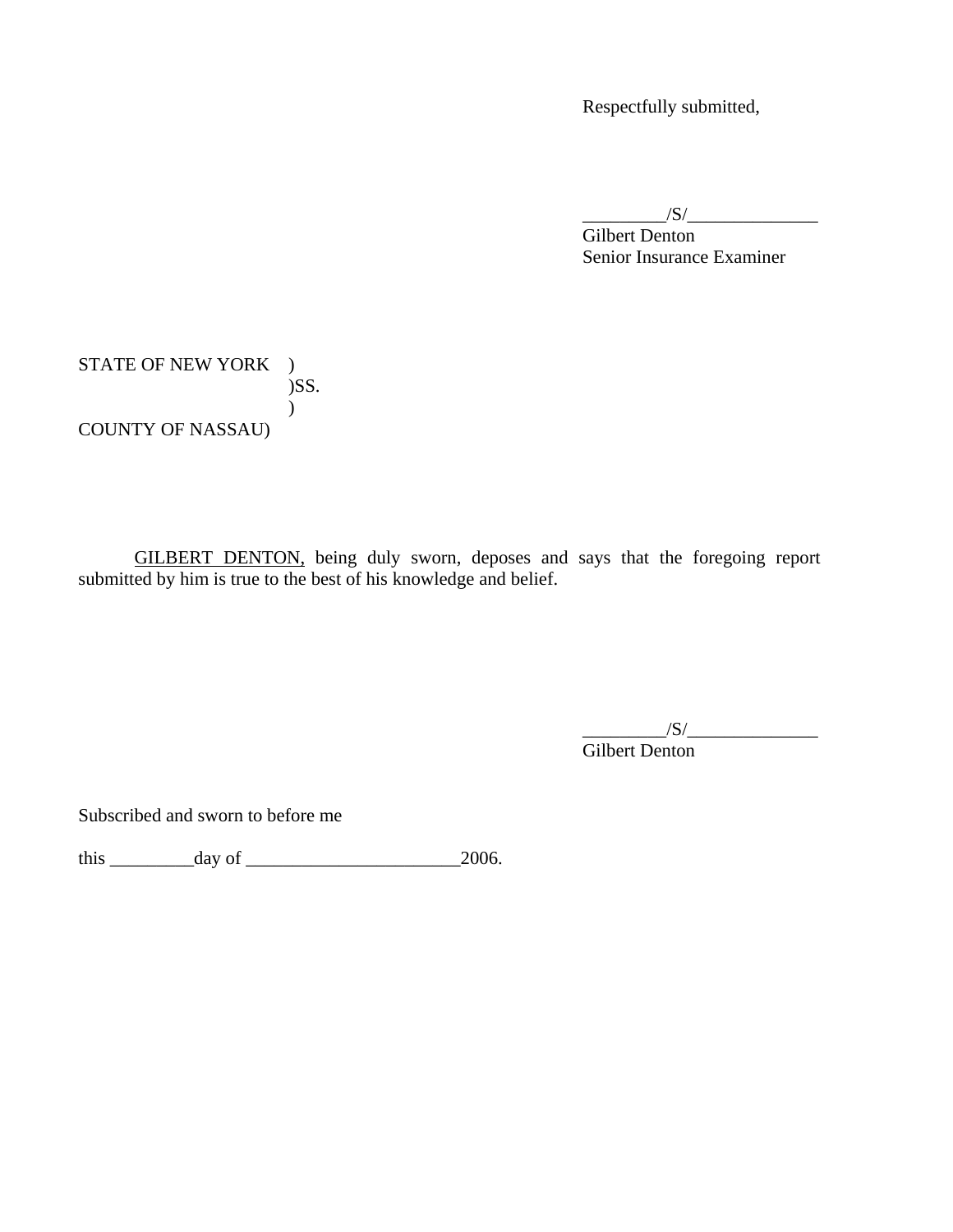Respectfully submitted,

 $/S/$ 

 Gilbert Denton Senior Insurance Examiner

STATE OF NEW YORK ) )SS.  $\overline{)}$ COUNTY OF NASSAU)

GILBERT DENTON, being duly sworn, deposes and says that the foregoing report submitted by him is true to the best of his knowledge and belief.

 Gilbert Denton  $\frac{1}{S}$ 

Subscribed and sworn to before me

this  $\frac{day \text{ of } 2006.}{}$